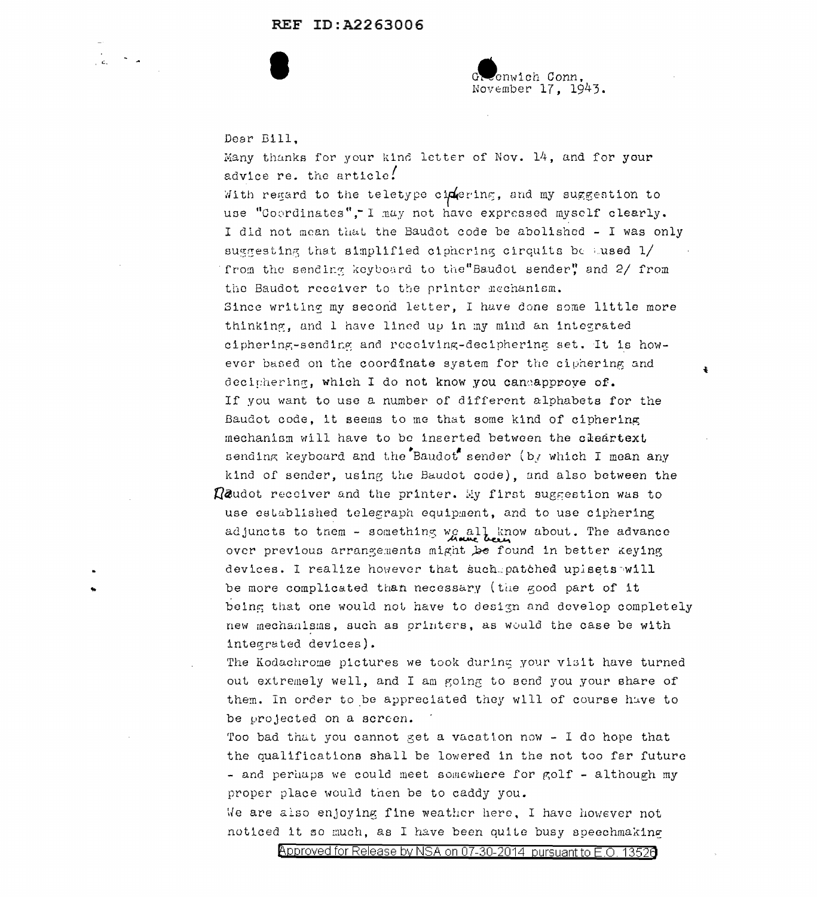## REF ID: A2263006

enwich Conn. November 17. 1943.

 $\ddot{\bullet}$ 

Dear Bill.

 $\frac{1}{\sqrt{2}}\int_{0}^{\sqrt{2}}\frac{1}{\sqrt{2}}\left(\frac{1}{\sqrt{2}}\right)^{2}d\mu\left(\frac{1}{2}\right)$ 

Many thanks for your kind letter of Nov. 14, and for your advice re. the article!

With regard to the teletype cipering, and my suggestion to use "Coordinates", I may not have expressed myself clearly. I did not mean that the Baudot code be abolished - I was only suggesting that simplified ciphering cirquits be used 1/ from the sending keyboard to the"Baudot sender" and 2/ from the Baudot receiver to the printer mechanism. Since writing my second letter, I have done some little more thinking, and I have lined up in my mind an integrated ciphering-sending and receiving-deciphering set. It is however based on the coordinate system for the ciphering and deciphering, which I do not know you candapprove of. If you want to use a number of different alphabets for the Baudot code, it seems to me that some kind of ciphering mechanism will have to be inserted between the cleartext sending keyboard and the Baudot sender (by which I mean any kind of sender, using the Baudot code), and also between the  $\Omega$ audot receiver and the printer. My first suggestion was to use established telegraph equipment, and to use ciphering adjuncts to them - something we all know about. The advance over previous arrangements might be found in better keying devices. I realize however that such patched upisets will be more complicated than necessary (the good part of it

being that one would not have to design and develop completely new mechanisms, such as printers, as would the case be with integrated devices).

The Kodachrome pictures we took during your visit have turned out extremely well, and I am going to send you your share of them. In order to be appreciated they will of course have to be projected on a screen.

Too bad that you cannot get a vacation now - I do hope that the qualifications shall be lowered in the not too far future - and perhaps we could meet somewhere for golf - although my proper place would then be to caddy you.

We are also enjoying fine weather here, I have however not noticed it so much, as I have been quite busy speechmaking